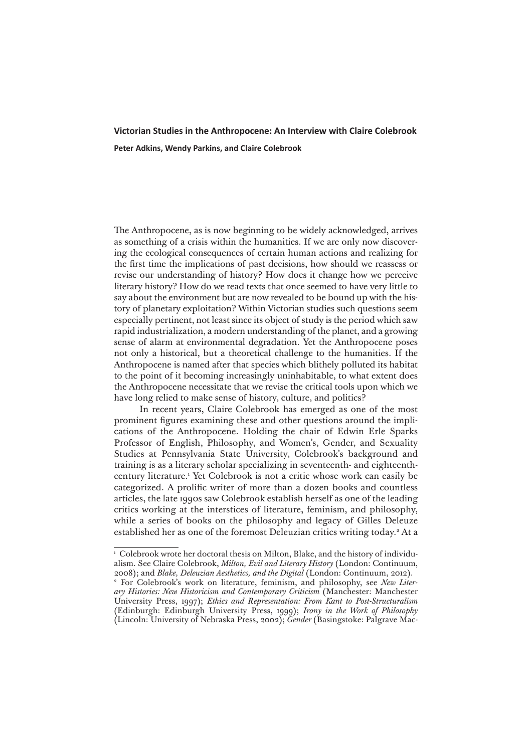## **Victorian Studies in the Anthropocene: An Interview with Claire Colebrook Peter Adkins, Wendy Parkins, and Claire Colebrook**

The Anthropocene, as is now beginning to be widely acknowledged, arrives as something of a crisis within the humanities. If we are only now discovering the ecological consequences of certain human actions and realizing for the first time the implications of past decisions, how should we reassess or revise our understanding of history? How does it change how we perceive literary history? How do we read texts that once seemed to have very little to say about the environment but are now revealed to be bound up with the history of planetary exploitation? Within Victorian studies such questions seem especially pertinent, not least since its object of study is the period which saw rapid industrialization, a modern understanding of the planet, and a growing sense of alarm at environmental degradation. Yet the Anthropocene poses not only a historical, but a theoretical challenge to the humanities. If the Anthropocene is named after that species which blithely polluted its habitat to the point of it becoming increasingly uninhabitable, to what extent does the Anthropocene necessitate that we revise the critical tools upon which we have long relied to make sense of history, culture, and politics?

In recent years, Claire Colebrook has emerged as one of the most prominent figures examining these and other questions around the implications of the Anthropocene. Holding the chair of Edwin Erle Sparks Professor of English, Philosophy, and Women's, Gender, and Sexuality Studies at Pennsylvania State University, Colebrook's background and training is as a literary scholar specializing in seventeenth- and eighteenthcentury literature.1 Yet Colebrook is not a critic whose work can easily be categorized. A prolific writer of more than a dozen books and countless articles, the late 1990s saw Colebrook establish herself as one of the leading critics working at the interstices of literature, feminism, and philosophy, while a series of books on the philosophy and legacy of Gilles Deleuze established her as one of the foremost Deleuzian critics writing today.<sup>2</sup> At a

<sup>&</sup>lt;sup>1</sup> Colebrook wrote her doctoral thesis on Milton, Blake, and the history of individualism. See Claire Colebrook, *Milton, Evil and Literary History* (London: Continuum, 2008); and *Blake, Deleuzian Aesthetics, and the Digital* (London: Continuum, 2012). <sup>2</sup> For Colebrook's work on literature, feminism, and philosophy, see New Liter*ary Histories: New Historicism and Contemporary Criticism* (Manchester: Manchester University Press, 1997); *Ethics and Representation: From Kant to Post-Structuralism*  (Edinburgh: Edinburgh University Press, 1999); *Irony in the Work of Philosophy* (Lincoln: University of Nebraska Press, 2002); *Gender* (Basingstoke: Palgrave Mac-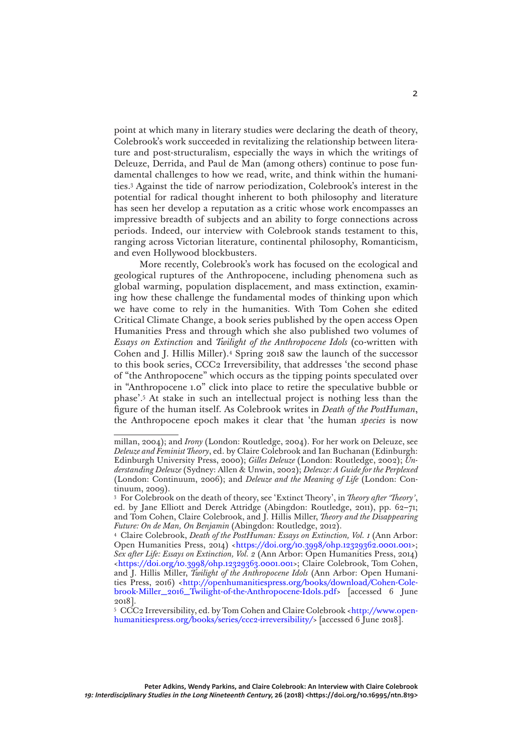point at which many in literary studies were declaring the death of theory, Colebrook's work succeeded in revitalizing the relationship between literature and post-structuralism, especially the ways in which the writings of Deleuze, Derrida, and Paul de Man (among others) continue to pose fundamental challenges to how we read, write, and think within the humanities.3 Against the tide of narrow periodization, Colebrook's interest in the potential for radical thought inherent to both philosophy and literature has seen her develop a reputation as a critic whose work encompasses an impressive breadth of subjects and an ability to forge connections across periods. Indeed, our interview with Colebrook stands testament to this, ranging across Victorian literature, continental philosophy, Romanticism, and even Hollywood blockbusters.

More recently, Colebrook's work has focused on the ecological and geological ruptures of the Anthropocene, including phenomena such as global warming, population displacement, and mass extinction, examining how these challenge the fundamental modes of thinking upon which we have come to rely in the humanities. With Tom Cohen she edited Critical Climate Change, a book series published by the open access Open Humanities Press and through which she also published two volumes of *Essays on Extinction* and *Twilight of the Anthropocene Idols* (co-written with Cohen and J. Hillis Miller).4 Spring 2018 saw the launch of the successor to this book series, CCC2 Irreversibility, that addresses 'the second phase of "the Anthropocene" which occurs as the tipping points speculated over in "Anthropocene 1.0" click into place to retire the speculative bubble or phase'.5 At stake in such an intellectual project is nothing less than the figure of the human itself. As Colebrook writes in *Death of the PostHuman*, the Anthropocene epoch makes it clear that 'the human *species* is now

millan, 2004); and *Irony* (London: Routledge, 2004). For her work on Deleuze, see *Deleuze and Feminist Theory*, ed. by Claire Colebrook and Ian Buchanan (Edinburgh: Edinburgh University Press, 2000); *Gilles Deleuze* (London: Routledge, 2002); *Understanding Deleuze* (Sydney: Allen & Unwin, 2002); *Deleuze: A Guide for the Perplexed*  (London: Continuum, 2006); and *Deleuze and the Meaning of Life* (London: Continuum, 2009).

<sup>3</sup> For Colebrook on the death of theory, see 'Extinct Theory', in *Theory after 'Theory'*, ed. by Jane Elliott and Derek Attridge (Abingdon: Routledge, 2011), pp. 62–71; and Tom Cohen, Claire Colebrook, and J. Hillis Miller, *Theory and the Disappearing Future: On de Man, On Benjamin* (Abingdon: Routledge, 2012).

<sup>4</sup> Claire Colebrook, *Death of the PostHuman: Essays on Extinction, Vol. 1* (Ann Arbor: Open Humanities Press, 2014) <<https://doi.org/10.3998/ohp.12329362.0001.001>>; *Sex after Life: Essays on Extinction, Vol. 2* (Ann Arbor: Open Humanities Press, 2014) [<https://doi.org/10.3998/ohp.12329363.0001.001>](https://doi.org/10.3998/ohp.12329363.0001.001); Claire Colebrook, Tom Cohen, and J. Hillis Miller, *Twilight of the Anthropocene Idols* (Ann Arbor: Open Humanities Press, 2016) <[http://openhumanitiespress.org/books/download/Cohen-Cole](http://openhumanitiespress.org/books/download/Cohen-Colebrook-Miller_2016_Twilight-of-the-Anthropocene-Idols.pdf)[brook-Miller\\_2016\\_Twilight-of-the-Anthropocene-Idols.pdf>](http://openhumanitiespress.org/books/download/Cohen-Colebrook-Miller_2016_Twilight-of-the-Anthropocene-Idols.pdf) [accessed 6 June 2018].

<sup>5</sup> CCC2 Irreversibility, ed. by Tom Cohen and Claire Colebrook [<http://www.open](http://www.openhumanitiespress.org/books/series/ccc2-irreversibility/)[humanitiespress.org/books/series/ccc2-irreversibility/](http://www.openhumanitiespress.org/books/series/ccc2-irreversibility/)> [accessed 6 June 2018].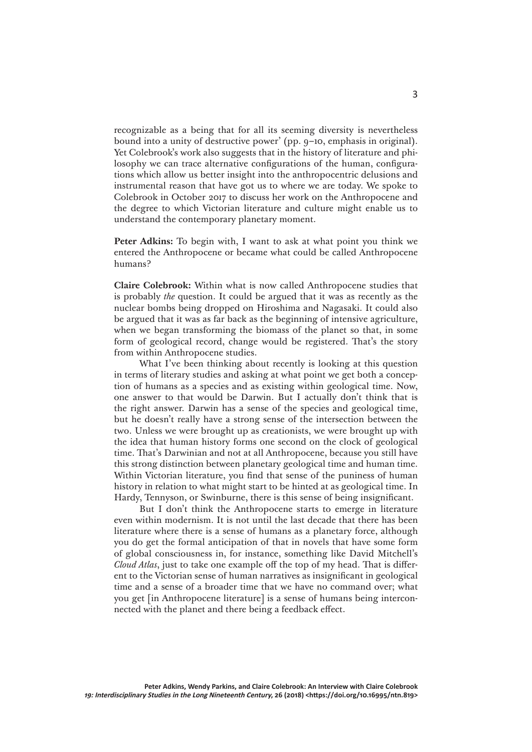recognizable as a being that for all its seeming diversity is nevertheless bound into a unity of destructive power' (pp. 9–10, emphasis in original). Yet Colebrook's work also suggests that in the history of literature and philosophy we can trace alternative configurations of the human, configurations which allow us better insight into the anthropocentric delusions and instrumental reason that have got us to where we are today. We spoke to Colebrook in October 2017 to discuss her work on the Anthropocene and the degree to which Victorian literature and culture might enable us to understand the contemporary planetary moment.

Peter Adkins: To begin with, I want to ask at what point you think we entered the Anthropocene or became what could be called Anthropocene humans?

**Claire Colebrook:** Within what is now called Anthropocene studies that is probably *the* question. It could be argued that it was as recently as the nuclear bombs being dropped on Hiroshima and Nagasaki. It could also be argued that it was as far back as the beginning of intensive agriculture, when we began transforming the biomass of the planet so that, in some form of geological record, change would be registered. That's the story from within Anthropocene studies.

What I've been thinking about recently is looking at this question in terms of literary studies and asking at what point we get both a conception of humans as a species and as existing within geological time. Now, one answer to that would be Darwin. But I actually don't think that is the right answer. Darwin has a sense of the species and geological time, but he doesn't really have a strong sense of the intersection between the two. Unless we were brought up as creationists, we were brought up with the idea that human history forms one second on the clock of geological time. That's Darwinian and not at all Anthropocene, because you still have this strong distinction between planetary geological time and human time. Within Victorian literature, you find that sense of the puniness of human history in relation to what might start to be hinted at as geological time. In Hardy, Tennyson, or Swinburne, there is this sense of being insignificant.

But I don't think the Anthropocene starts to emerge in literature even within modernism. It is not until the last decade that there has been literature where there is a sense of humans as a planetary force, although you do get the formal anticipation of that in novels that have some form of global consciousness in, for instance, something like David Mitchell's *Cloud Atlas*, just to take one example off the top of my head. That is different to the Victorian sense of human narratives as insignificant in geological time and a sense of a broader time that we have no command over; what you get [in Anthropocene literature] is a sense of humans being interconnected with the planet and there being a feedback effect.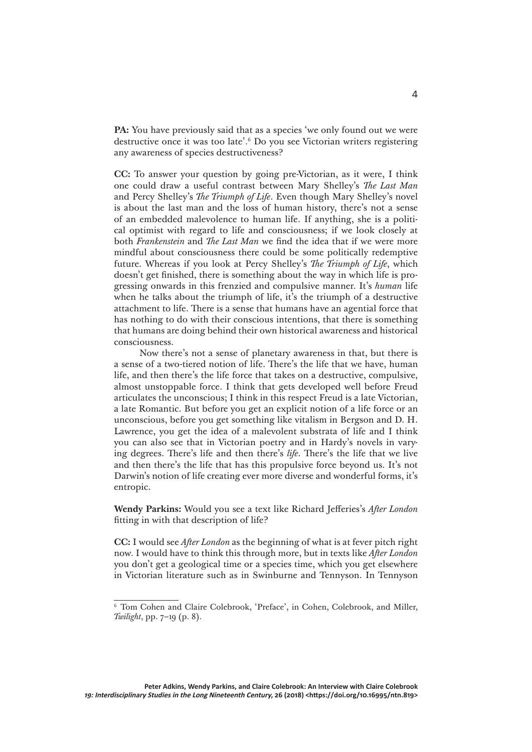**PA:** You have previously said that as a species 'we only found out we were destructive once it was too late'.6 Do you see Victorian writers registering any awareness of species destructiveness?

**CC:** To answer your question by going pre-Victorian, as it were, I think one could draw a useful contrast between Mary Shelley's *The Last Man*  and Percy Shelley's *The Triumph of Life*. Even though Mary Shelley's novel is about the last man and the loss of human history, there's not a sense of an embedded malevolence to human life. If anything, she is a political optimist with regard to life and consciousness; if we look closely at both *Frankenstein* and *The Last Man* we find the idea that if we were more mindful about consciousness there could be some politically redemptive future. Whereas if you look at Percy Shelley's *The Triumph of Life*, which doesn't get finished, there is something about the way in which life is progressing onwards in this frenzied and compulsive manner. It's *human* life when he talks about the triumph of life, it's the triumph of a destructive attachment to life. There is a sense that humans have an agential force that has nothing to do with their conscious intentions, that there is something that humans are doing behind their own historical awareness and historical consciousness.

Now there's not a sense of planetary awareness in that, but there is a sense of a two-tiered notion of life. There's the life that we have, human life, and then there's the life force that takes on a destructive, compulsive, almost unstoppable force. I think that gets developed well before Freud articulates the unconscious; I think in this respect Freud is a late Victorian, a late Romantic. But before you get an explicit notion of a life force or an unconscious, before you get something like vitalism in Bergson and D. H. Lawrence, you get the idea of a malevolent substrata of life and I think you can also see that in Victorian poetry and in Hardy's novels in varying degrees. There's life and then there's *life*. There's the life that we live and then there's the life that has this propulsive force beyond us. It's not Darwin's notion of life creating ever more diverse and wonderful forms, it's entropic.

**Wendy Parkins:** Would you see a text like Richard Jefferies's *After London*  fitting in with that description of life?

**CC:** I would see *After London* as the beginning of what is at fever pitch right now. I would have to think this through more, but in texts like *After London* you don't get a geological time or a species time, which you get elsewhere in Victorian literature such as in Swinburne and Tennyson. In Tennyson

<sup>6</sup> Tom Cohen and Claire Colebrook, 'Preface', in Cohen, Colebrook, and Miller, *Twilight*, pp. 7–19 (p. 8).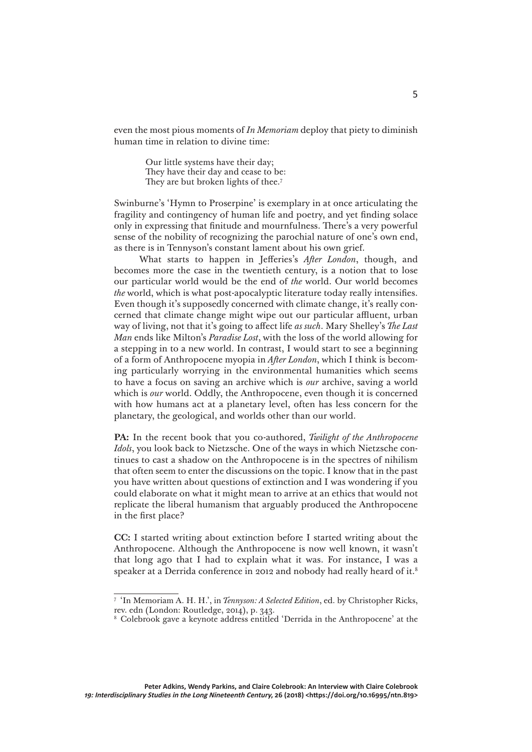even the most pious moments of *In Memoriam* deploy that piety to diminish human time in relation to divine time:

> Our little systems have their day; They have their day and cease to be: They are but broken lights of thee.<sup>7</sup>

Swinburne's 'Hymn to Proserpine' is exemplary in at once articulating the fragility and contingency of human life and poetry, and yet finding solace only in expressing that finitude and mournfulness. There's a very powerful sense of the nobility of recognizing the parochial nature of one's own end, as there is in Tennyson's constant lament about his own grief.

What starts to happen in Jefferies's *After London*, though, and becomes more the case in the twentieth century, is a notion that to lose our particular world would be the end of *the* world. Our world becomes *the* world, which is what post-apocalyptic literature today really intensifies. Even though it's supposedly concerned with climate change, it's really concerned that climate change might wipe out our particular affluent, urban way of living, not that it's going to affect life *as such*. Mary Shelley's *The Last Man* ends like Milton's *Paradise Lost*, with the loss of the world allowing for a stepping in to a new world. In contrast, I would start to see a beginning of a form of Anthropocene myopia in *After London*, which I think is becoming particularly worrying in the environmental humanities which seems to have a focus on saving an archive which is *our* archive, saving a world which is *our* world. Oddly, the Anthropocene, even though it is concerned with how humans act at a planetary level, often has less concern for the planetary, the geological, and worlds other than our world.

**PA:** In the recent book that you co-authored, *Twilight of the Anthropocene Idols*, you look back to Nietzsche. One of the ways in which Nietzsche continues to cast a shadow on the Anthropocene is in the spectres of nihilism that often seem to enter the discussions on the topic. I know that in the past you have written about questions of extinction and I was wondering if you could elaborate on what it might mean to arrive at an ethics that would not replicate the liberal humanism that arguably produced the Anthropocene in the first place?

**CC:** I started writing about extinction before I started writing about the Anthropocene. Although the Anthropocene is now well known, it wasn't that long ago that I had to explain what it was. For instance, I was a speaker at a Derrida conference in 2012 and nobody had really heard of it.<sup>8</sup>

<sup>7</sup> 'In Memoriam A. H. H.', in *Tennyson: A Selected Edition*, ed. by Christopher Ricks, rev. edn (London: Routledge, 2014), p. 343.

<sup>8</sup> Colebrook gave a keynote address entitled 'Derrida in the Anthropocene' at the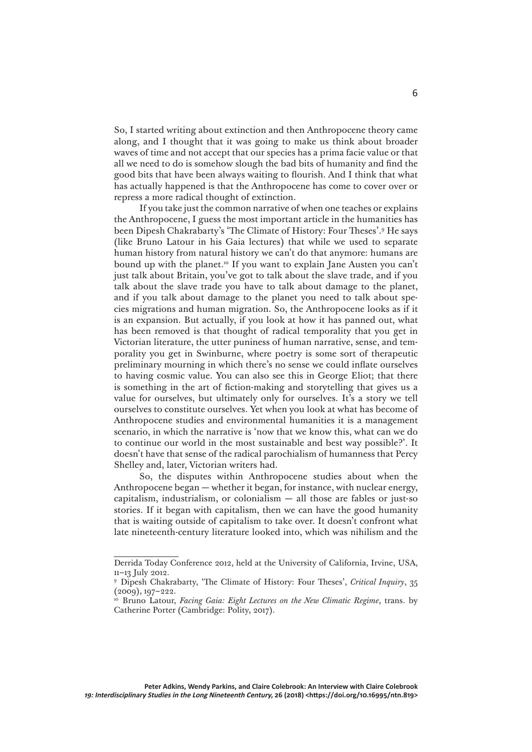So, I started writing about extinction and then Anthropocene theory came along, and I thought that it was going to make us think about broader waves of time and not accept that our species has a prima facie value or that all we need to do is somehow slough the bad bits of humanity and find the good bits that have been always waiting to flourish. And I think that what has actually happened is that the Anthropocene has come to cover over or repress a more radical thought of extinction.

If you take just the common narrative of when one teaches or explains the Anthropocene, I guess the most important article in the humanities has been Dipesh Chakrabarty's 'The Climate of History: Four Theses'.9 He says (like Bruno Latour in his Gaia lectures) that while we used to separate human history from natural history we can't do that anymore: humans are bound up with the planet.10 If you want to explain Jane Austen you can't just talk about Britain, you've got to talk about the slave trade, and if you talk about the slave trade you have to talk about damage to the planet, and if you talk about damage to the planet you need to talk about species migrations and human migration. So, the Anthropocene looks as if it is an expansion. But actually, if you look at how it has panned out, what has been removed is that thought of radical temporality that you get in Victorian literature, the utter puniness of human narrative, sense, and temporality you get in Swinburne, where poetry is some sort of therapeutic preliminary mourning in which there's no sense we could inflate ourselves to having cosmic value. You can also see this in George Eliot; that there is something in the art of fiction-making and storytelling that gives us a value for ourselves, but ultimately only for ourselves. It's a story we tell ourselves to constitute ourselves. Yet when you look at what has become of Anthropocene studies and environmental humanities it is a management scenario, in which the narrative is 'now that we know this, what can we do to continue our world in the most sustainable and best way possible?'. It doesn't have that sense of the radical parochialism of humanness that Percy Shelley and, later, Victorian writers had.

So, the disputes within Anthropocene studies about when the Anthropocene began — whether it began, for instance, with nuclear energy, capitalism, industrialism, or colonialism  $-$  all those are fables or just-so stories. If it began with capitalism, then we can have the good humanity that is waiting outside of capitalism to take over. It doesn't confront what late nineteenth-century literature looked into, which was nihilism and the

Derrida Today Conference 2012, held at the University of California, Irvine, USA,  $11-13$  July 2012.

<sup>9</sup> Dipesh Chakrabarty, 'The Climate of History: Four Theses', *Critical Inquiry*, 35 (2009), 197–222.

<sup>&</sup>lt;sup>10</sup> Bruno Latour, *Facing Gaia: Eight Lectures on the New Climatic Regime*, trans. by Catherine Porter (Cambridge: Polity, 2017).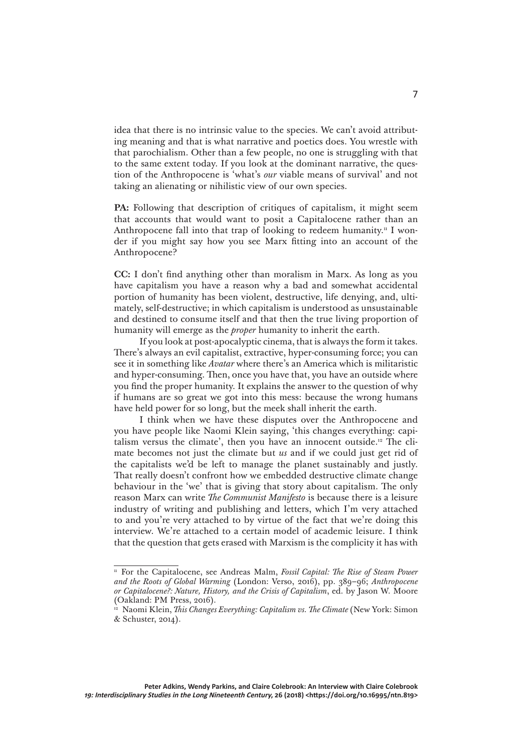idea that there is no intrinsic value to the species. We can't avoid attributing meaning and that is what narrative and poetics does. You wrestle with that parochialism. Other than a few people, no one is struggling with that to the same extent today. If you look at the dominant narrative, the question of the Anthropocene is 'what's *our* viable means of survival' and not taking an alienating or nihilistic view of our own species.

PA: Following that description of critiques of capitalism, it might seem that accounts that would want to posit a Capitalocene rather than an Anthropocene fall into that trap of looking to redeem humanity.<sup>11</sup> I wonder if you might say how you see Marx fitting into an account of the Anthropocene?

**CC:** I don't find anything other than moralism in Marx. As long as you have capitalism you have a reason why a bad and somewhat accidental portion of humanity has been violent, destructive, life denying, and, ultimately, self-destructive; in which capitalism is understood as unsustainable and destined to consume itself and that then the true living proportion of humanity will emerge as the *proper* humanity to inherit the earth.

If you look at post-apocalyptic cinema, that is always the form it takes. There's always an evil capitalist, extractive, hyper-consuming force; you can see it in something like *Avatar* where there's an America which is militaristic and hyper-consuming. Then, once you have that, you have an outside where you find the proper humanity. It explains the answer to the question of why if humans are so great we got into this mess: because the wrong humans have held power for so long, but the meek shall inherit the earth.

I think when we have these disputes over the Anthropocene and you have people like Naomi Klein saying, 'this changes everything: capitalism versus the climate', then you have an innocent outside.12 The climate becomes not just the climate but *us* and if we could just get rid of the capitalists we'd be left to manage the planet sustainably and justly. That really doesn't confront how we embedded destructive climate change behaviour in the 'we' that is giving that story about capitalism. The only reason Marx can write *The Communist Manifesto* is because there is a leisure industry of writing and publishing and letters, which I'm very attached to and you're very attached to by virtue of the fact that we're doing this interview. We're attached to a certain model of academic leisure. I think that the question that gets erased with Marxism is the complicity it has with

<sup>&</sup>lt;sup>11</sup> For the Capitalocene, see Andreas Malm, *Fossil Capital: The Rise of Steam Power and the Roots of Global Warming* (London: Verso, 2016), pp. 389–96; *Anthropocene or Capitalocene?: Nature, History, and the Crisis of Capitalism*, ed. by Jason W. Moore (Oakland: PM Press, 2016).

<sup>&</sup>lt;sup>12</sup> Naomi Klein, *This Changes Everything: Capitalism vs. The Climate* (New York: Simon & Schuster, 2014).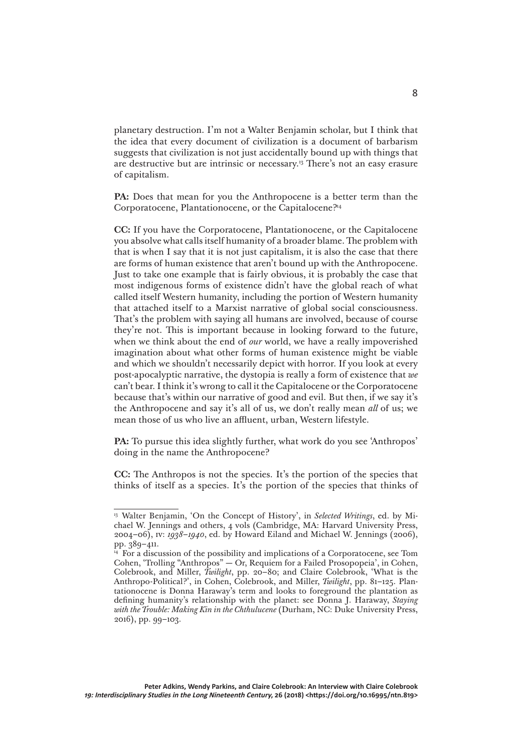planetary destruction. I'm not a Walter Benjamin scholar, but I think that the idea that every document of civilization is a document of barbarism suggests that civilization is not just accidentally bound up with things that are destructive but are intrinsic or necessary.13 There's not an easy erasure of capitalism.

PA: Does that mean for you the Anthropocene is a better term than the Corporatocene, Plantationocene, or the Capitalocene?14

**CC:** If you have the Corporatocene, Plantationocene, or the Capitalocene you absolve what calls itself humanity of a broader blame. The problem with that is when I say that it is not just capitalism, it is also the case that there are forms of human existence that aren't bound up with the Anthropocene. Just to take one example that is fairly obvious, it is probably the case that most indigenous forms of existence didn't have the global reach of what called itself Western humanity, including the portion of Western humanity that attached itself to a Marxist narrative of global social consciousness. That's the problem with saying all humans are involved, because of course they're not. This is important because in looking forward to the future, when we think about the end of *our* world, we have a really impoverished imagination about what other forms of human existence might be viable and which we shouldn't necessarily depict with horror. If you look at every post-apocalyptic narrative, the dystopia is really a form of existence that *we* can't bear. I think it's wrong to call it the Capitalocene or the Corporatocene because that's within our narrative of good and evil. But then, if we say it's the Anthropocene and say it's all of us, we don't really mean *all* of us; we mean those of us who live an affluent, urban, Western lifestyle.

PA: To pursue this idea slightly further, what work do you see 'Anthropos' doing in the name the Anthropocene?

**CC:** The Anthropos is not the species. It's the portion of the species that thinks of itself as a species. It's the portion of the species that thinks of

<sup>&</sup>lt;sup>13</sup> Walter Benjamin, 'On the Concept of History', in *Selected Writings*, ed. by Michael W. Jennings and others, 4 vols (Cambridge, MA: Harvard University Press, 2004–06), iv: *1938–1940*, ed. by Howard Eiland and Michael W. Jennings (2006), pp. 389–411.

 $\frac{1}{4}$  For a discussion of the possibility and implications of a Corporatocene, see Tom Cohen, 'Trolling "Anthropos" — Or, Requiem for a Failed Prosopopeia', in Cohen, Colebrook, and Miller, *Twilight*, pp. 20–80; and Claire Colebrook, 'What is the Anthropo-Political?', in Cohen, Colebrook, and Miller, *Twilight*, pp. 81–125. Plantationocene is Donna Haraway's term and looks to foreground the plantation as defining humanity's relationship with the planet: see Donna J. Haraway, *Staying with the Trouble: Making Kin in the Chthulucene* (Durham, NC: Duke University Press, 2016), pp. 99–103.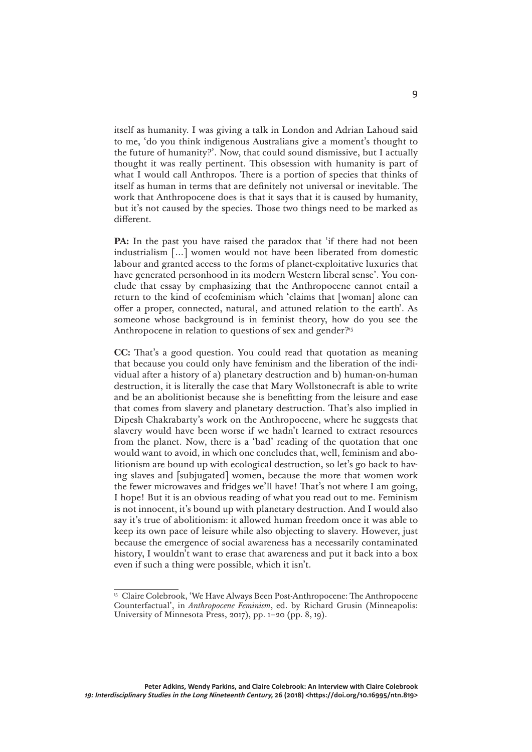itself as humanity. I was giving a talk in London and Adrian Lahoud said to me, 'do you think indigenous Australians give a moment's thought to the future of humanity?'. Now, that could sound dismissive, but I actually thought it was really pertinent. This obsession with humanity is part of what I would call Anthropos. There is a portion of species that thinks of itself as human in terms that are definitely not universal or inevitable. The work that Anthropocene does is that it says that it is caused by humanity, but it's not caused by the species. Those two things need to be marked as different.

PA: In the past you have raised the paradox that 'if there had not been industrialism […] women would not have been liberated from domestic labour and granted access to the forms of planet-exploitative luxuries that have generated personhood in its modern Western liberal sense'. You conclude that essay by emphasizing that the Anthropocene cannot entail a return to the kind of ecofeminism which 'claims that [woman] alone can offer a proper, connected, natural, and attuned relation to the earth'. As someone whose background is in feminist theory, how do you see the Anthropocene in relation to questions of sex and gender?<sup>15</sup>

**CC:** That's a good question. You could read that quotation as meaning that because you could only have feminism and the liberation of the individual after a history of a) planetary destruction and b) human-on-human destruction, it is literally the case that Mary Wollstonecraft is able to write and be an abolitionist because she is benefitting from the leisure and ease that comes from slavery and planetary destruction. That's also implied in Dipesh Chakrabarty's work on the Anthropocene, where he suggests that slavery would have been worse if we hadn't learned to extract resources from the planet. Now, there is a 'bad' reading of the quotation that one would want to avoid, in which one concludes that, well, feminism and abolitionism are bound up with ecological destruction, so let's go back to having slaves and [subjugated] women, because the more that women work the fewer microwaves and fridges we'll have! That's not where I am going, I hope! But it is an obvious reading of what you read out to me. Feminism is not innocent, it's bound up with planetary destruction. And I would also say it's true of abolitionism: it allowed human freedom once it was able to keep its own pace of leisure while also objecting to slavery. However, just because the emergence of social awareness has a necessarily contaminated history, I wouldn't want to erase that awareness and put it back into a box even if such a thing were possible, which it isn't.

<sup>&</sup>lt;sup>15</sup> Claire Colebrook, 'We Have Always Been Post-Anthropocene: The Anthropocene Counterfactual', in *Anthropocene Feminism*, ed. by Richard Grusin (Minneapolis: University of Minnesota Press, 2017), pp. 1–20 (pp. 8, 19).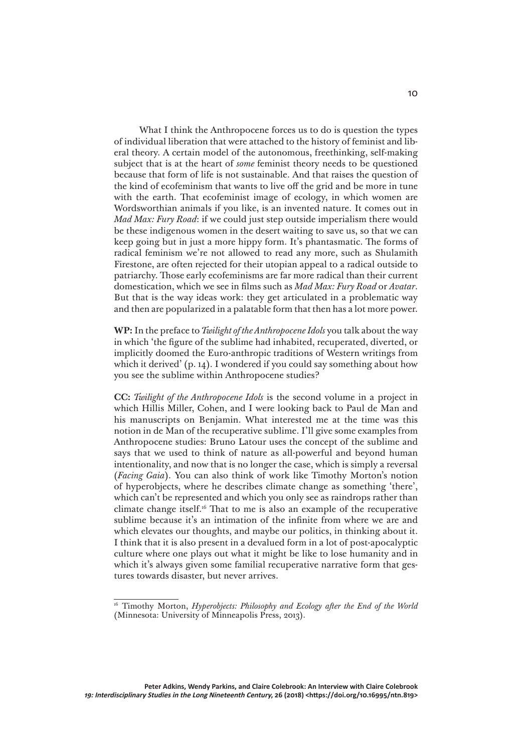What I think the Anthropocene forces us to do is question the types of individual liberation that were attached to the history of feminist and liberal theory. A certain model of the autonomous, freethinking, self-making subject that is at the heart of *some* feminist theory needs to be questioned because that form of life is not sustainable. And that raises the question of the kind of ecofeminism that wants to live off the grid and be more in tune with the earth. That ecofeminist image of ecology, in which women are Wordsworthian animals if you like, is an invented nature. It comes out in *Mad Max: Fury Road*: if we could just step outside imperialism there would be these indigenous women in the desert waiting to save us, so that we can keep going but in just a more hippy form. It's phantasmatic. The forms of radical feminism we're not allowed to read any more, such as Shulamith Firestone, are often rejected for their utopian appeal to a radical outside to patriarchy. Those early ecofeminisms are far more radical than their current domestication, which we see in films such as *Mad Max: Fury Road* or *Avatar*. But that is the way ideas work: they get articulated in a problematic way and then are popularized in a palatable form that then has a lot more power.

**WP:** In the preface to *Twilight of the Anthropocene Idols* you talk about the way in which 'the figure of the sublime had inhabited, recuperated, diverted, or implicitly doomed the Euro-anthropic traditions of Western writings from which it derived' (p. 14). I wondered if you could say something about how you see the sublime within Anthropocene studies?

**CC:** *Twilight of the Anthropocene Idols* is the second volume in a project in which Hillis Miller, Cohen, and I were looking back to Paul de Man and his manuscripts on Benjamin. What interested me at the time was this notion in de Man of the recuperative sublime. I'll give some examples from Anthropocene studies: Bruno Latour uses the concept of the sublime and says that we used to think of nature as all-powerful and beyond human intentionality, and now that is no longer the case, which is simply a reversal (*Facing Gaia*). You can also think of work like Timothy Morton's notion of hyperobjects, where he describes climate change as something 'there', which can't be represented and which you only see as raindrops rather than climate change itself.16 That to me is also an example of the recuperative sublime because it's an intimation of the infinite from where we are and which elevates our thoughts, and maybe our politics, in thinking about it. I think that it is also present in a devalued form in a lot of post-apocalyptic culture where one plays out what it might be like to lose humanity and in which it's always given some familial recuperative narrative form that gestures towards disaster, but never arrives.

<sup>&</sup>lt;sup>16</sup> Timothy Morton, *Hyperobjects: Philosophy and Ecology after the End of the World* (Minnesota: University of Minneapolis Press, 2013).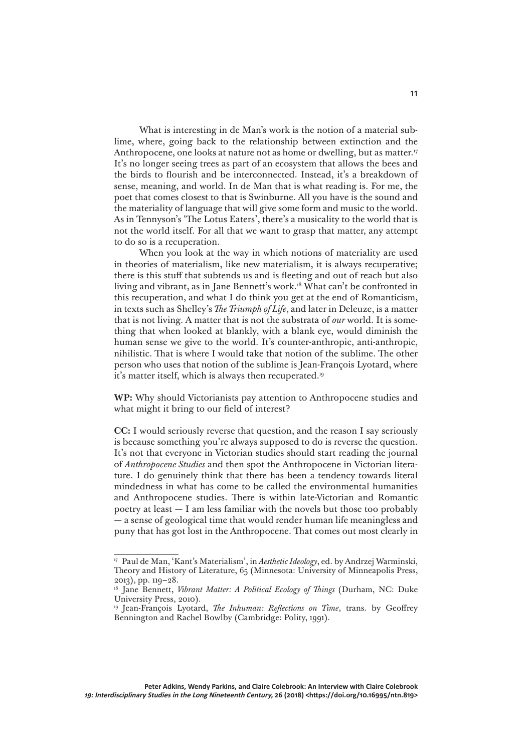What is interesting in de Man's work is the notion of a material sublime, where, going back to the relationship between extinction and the Anthropocene, one looks at nature not as home or dwelling, but as matter.<sup>17</sup> It's no longer seeing trees as part of an ecosystem that allows the bees and the birds to flourish and be interconnected. Instead, it's a breakdown of sense, meaning, and world. In de Man that is what reading is. For me, the poet that comes closest to that is Swinburne. All you have is the sound and the materiality of language that will give some form and music to the world. As in Tennyson's 'The Lotus Eaters', there's a musicality to the world that is not the world itself. For all that we want to grasp that matter, any attempt to do so is a recuperation.

When you look at the way in which notions of materiality are used in theories of materialism, like new materialism, it is always recuperative; there is this stuff that subtends us and is fleeting and out of reach but also living and vibrant, as in Jane Bennett's work.<sup>18</sup> What can't be confronted in this recuperation, and what I do think you get at the end of Romanticism, in texts such as Shelley's *The Triumph of Life*, and later in Deleuze, is a matter that is not living. A matter that is not the substrata of *our* world. It is something that when looked at blankly, with a blank eye, would diminish the human sense we give to the world. It's counter-anthropic, anti-anthropic, nihilistic. That is where I would take that notion of the sublime. The other person who uses that notion of the sublime is Jean-François Lyotard, where it's matter itself, which is always then recuperated.<sup>19</sup>

**WP:** Why should Victorianists pay attention to Anthropocene studies and what might it bring to our field of interest?

**CC:** I would seriously reverse that question, and the reason I say seriously is because something you're always supposed to do is reverse the question. It's not that everyone in Victorian studies should start reading the journal of *Anthropocene Studies* and then spot the Anthropocene in Victorian literature. I do genuinely think that there has been a tendency towards literal mindedness in what has come to be called the environmental humanities and Anthropocene studies. There is within late-Victorian and Romantic poetry at least — I am less familiar with the novels but those too probably — a sense of geological time that would render human life meaningless and puny that has got lost in the Anthropocene. That comes out most clearly in

<sup>17</sup> Paul de Man, 'Kant's Materialism', in *Aesthetic Ideology*, ed. by Andrzej Warminski, Theory and History of Literature, 65 (Minnesota: University of Minneapolis Press, 2013), pp. 119–28.

<sup>&</sup>lt;sup>18</sup> Jane Bennett, *Vibrant Matter: A Political Ecology of Things* (Durham, NC: Duke University Press, 2010).

<sup>19</sup> Jean-François Lyotard, *The Inhuman: Reflections on Time*, trans. by Geoffrey Bennington and Rachel Bowlby (Cambridge: Polity, 1991).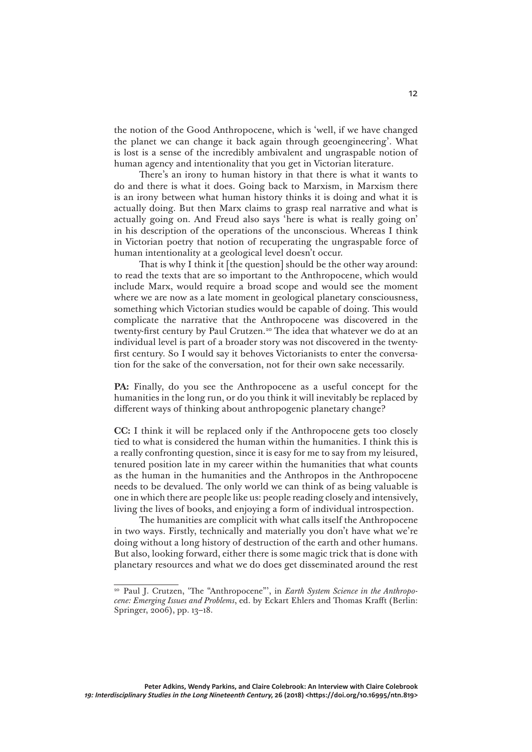the notion of the Good Anthropocene, which is 'well, if we have changed the planet we can change it back again through geoengineering'. What is lost is a sense of the incredibly ambivalent and ungraspable notion of human agency and intentionality that you get in Victorian literature.

There's an irony to human history in that there is what it wants to do and there is what it does. Going back to Marxism, in Marxism there is an irony between what human history thinks it is doing and what it is actually doing. But then Marx claims to grasp real narrative and what is actually going on. And Freud also says 'here is what is really going on' in his description of the operations of the unconscious. Whereas I think in Victorian poetry that notion of recuperating the ungraspable force of human intentionality at a geological level doesn't occur.

That is why I think it [the question] should be the other way around: to read the texts that are so important to the Anthropocene, which would include Marx, would require a broad scope and would see the moment where we are now as a late moment in geological planetary consciousness, something which Victorian studies would be capable of doing. This would complicate the narrative that the Anthropocene was discovered in the twenty-first century by Paul Crutzen.<sup>20</sup> The idea that whatever we do at an individual level is part of a broader story was not discovered in the twentyfirst century. So I would say it behoves Victorianists to enter the conversation for the sake of the conversation, not for their own sake necessarily.

PA: Finally, do you see the Anthropocene as a useful concept for the humanities in the long run, or do you think it will inevitably be replaced by different ways of thinking about anthropogenic planetary change?

**CC:** I think it will be replaced only if the Anthropocene gets too closely tied to what is considered the human within the humanities. I think this is a really confronting question, since it is easy for me to say from my leisured, tenured position late in my career within the humanities that what counts as the human in the humanities and the Anthropos in the Anthropocene needs to be devalued. The only world we can think of as being valuable is one in which there are people like us: people reading closely and intensively, living the lives of books, and enjoying a form of individual introspection.

The humanities are complicit with what calls itself the Anthropocene in two ways. Firstly, technically and materially you don't have what we're doing without a long history of destruction of the earth and other humans. But also, looking forward, either there is some magic trick that is done with planetary resources and what we do does get disseminated around the rest

<sup>20</sup> Paul J. Crutzen, 'The "Anthropocene"', in *Earth System Science in the Anthropocene: Emerging Issues and Problems*, ed. by Eckart Ehlers and Thomas Krafft (Berlin: Springer, 2006), pp. 13–18.